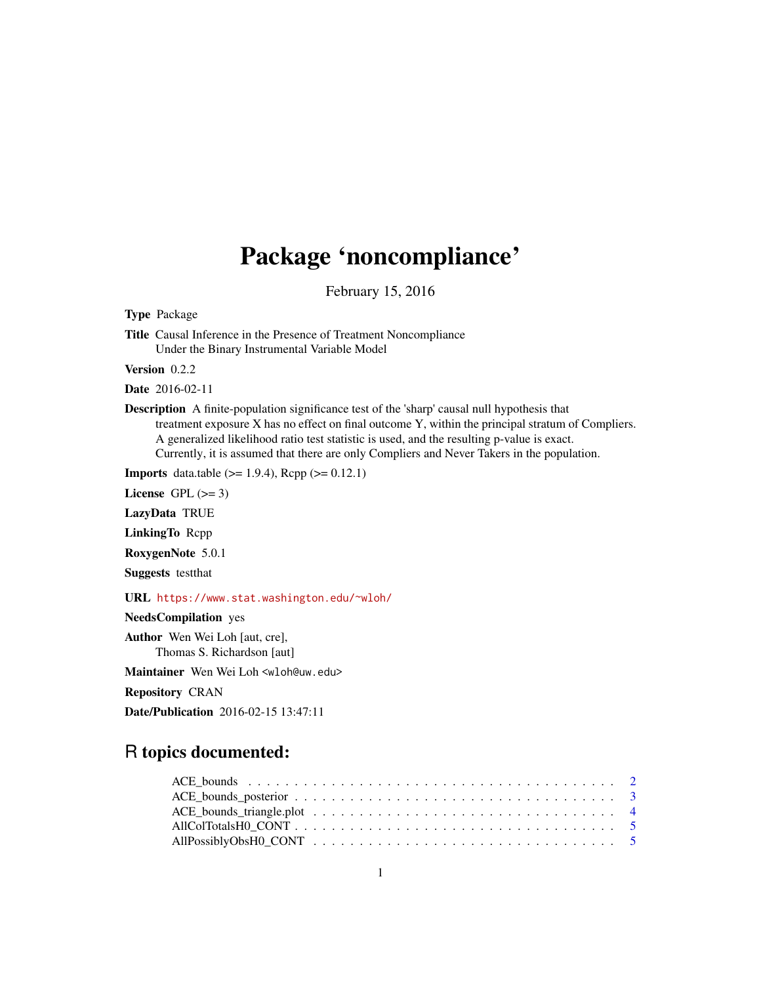# Package 'noncompliance'

February 15, 2016

<span id="page-0-0"></span>Type Package

Title Causal Inference in the Presence of Treatment Noncompliance Under the Binary Instrumental Variable Model

Version 0.2.2

Date 2016-02-11

Description A finite-population significance test of the 'sharp' causal null hypothesis that treatment exposure X has no effect on final outcome Y, within the principal stratum of Compliers. A generalized likelihood ratio test statistic is used, and the resulting p-value is exact. Currently, it is assumed that there are only Compliers and Never Takers in the population.

**Imports** data.table ( $>= 1.9.4$ ), Rcpp ( $>= 0.12.1$ )

License GPL  $(>= 3)$ 

LazyData TRUE

LinkingTo Rcpp

RoxygenNote 5.0.1

Suggests testthat

URL <https://www.stat.washington.edu/~wloh/>

NeedsCompilation yes

Author Wen Wei Loh [aut, cre], Thomas S. Richardson [aut]

Maintainer Wen Wei Loh <wloh@uw.edu>

Repository CRAN

Date/Publication 2016-02-15 13:47:11

# R topics documented: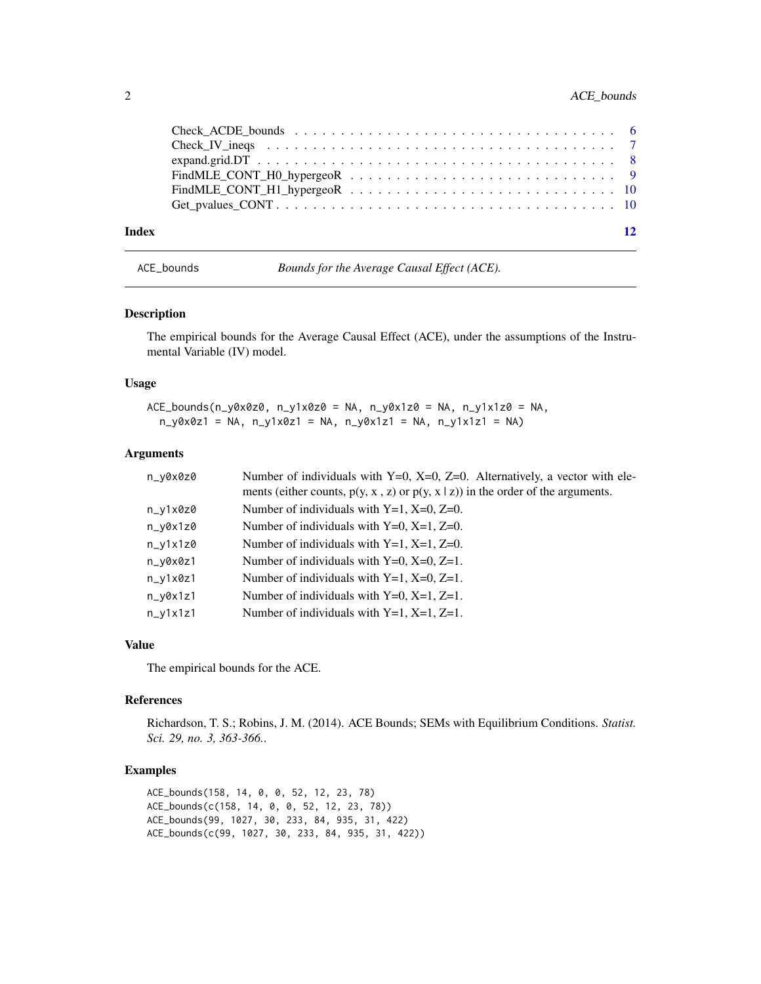<span id="page-1-0"></span>

| Index |                     | 12 |
|-------|---------------------|----|
|       |                     |    |
|       |                     |    |
|       |                     |    |
|       | $expand, grid.DT$ 8 |    |
|       |                     |    |
|       |                     |    |

ACE\_bounds *Bounds for the Average Causal Effect (ACE).*

# Description

The empirical bounds for the Average Causal Effect (ACE), under the assumptions of the Instrumental Variable (IV) model.

# Usage

ACE\_bounds(n\_y0x0z0, n\_y1x0z0 = NA, n\_y0x1z0 = NA, n\_y1x1z0 = NA,  $n_y0x0z1 = NA$ ,  $n_y1x0z1 = NA$ ,  $n_y0x1z1 = NA$ ,  $n_y1x1z1 = NA$ 

# Arguments

| n_v0x0z0   | Number of individuals with $Y=0$ , $X=0$ , $Z=0$ . Alternatively, a vector with ele-<br>ments (either counts, $p(y, x, z)$ or $p(y, x   z)$ ) in the order of the arguments. |
|------------|------------------------------------------------------------------------------------------------------------------------------------------------------------------------------|
|            |                                                                                                                                                                              |
| n_y1x0z0   | Number of individuals with $Y=1$ , $X=0$ , $Z=0$ .                                                                                                                           |
| $n_v0x1z0$ | Number of individuals with $Y=0$ , $X=1$ , $Z=0$ .                                                                                                                           |
| $n_v1x1z0$ | Number of individuals with $Y=1$ , $X=1$ , $Z=0$ .                                                                                                                           |
| n_y0x0z1   | Number of individuals with $Y=0$ , $X=0$ , $Z=1$ .                                                                                                                           |
| $n_y1x0z1$ | Number of individuals with $Y=1$ , $X=0$ , $Z=1$ .                                                                                                                           |
| $n_v0x1z1$ | Number of individuals with $Y=0$ , $X=1$ , $Z=1$ .                                                                                                                           |
| $n_y1x1z1$ | Number of individuals with $Y=1$ , $X=1$ , $Z=1$ .                                                                                                                           |

#### Value

The empirical bounds for the ACE.

#### References

Richardson, T. S.; Robins, J. M. (2014). ACE Bounds; SEMs with Equilibrium Conditions. *Statist. Sci. 29, no. 3, 363-366.*.

### Examples

```
ACE_bounds(158, 14, 0, 0, 52, 12, 23, 78)
ACE_bounds(c(158, 14, 0, 0, 52, 12, 23, 78))
ACE_bounds(99, 1027, 30, 233, 84, 935, 31, 422)
ACE_bounds(c(99, 1027, 30, 233, 84, 935, 31, 422))
```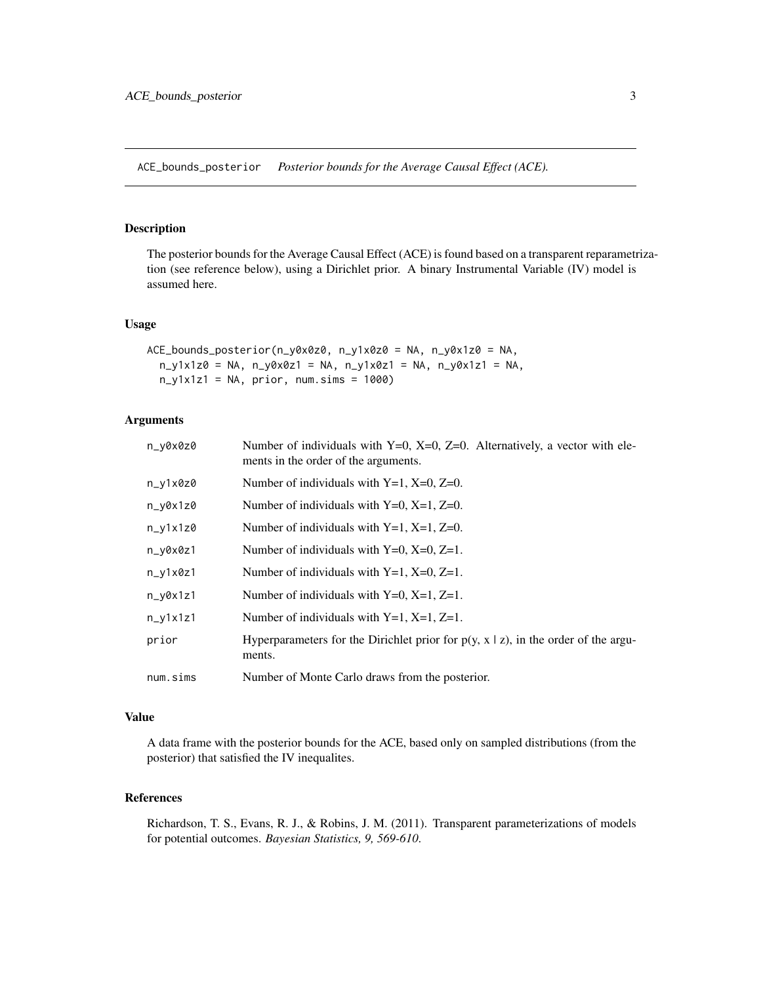<span id="page-2-0"></span>ACE\_bounds\_posterior *Posterior bounds for the Average Causal Effect (ACE).*

# Description

The posterior bounds for the Average Causal Effect (ACE) is found based on a transparent reparametrization (see reference below), using a Dirichlet prior. A binary Instrumental Variable (IV) model is assumed here.

#### Usage

```
ACE_bounds_posterior(n_y0x0z0, n_y1x0z0 = NA, n_y0x1z0 = NA,
  n_y1x1z0 = NA, n_y0x0z1 = NA, n_y1x0z1 = NA, n_y0x1z1 = NA,
 n_y1x1z1 = NA, prior, num.sims = 1000)
```
# Arguments

| n_y0x0z0   | Number of individuals with $Y=0$ , $X=0$ , $Z=0$ . Alternatively, a vector with ele-<br>ments in the order of the arguments. |
|------------|------------------------------------------------------------------------------------------------------------------------------|
| n_y1x0z0   | Number of individuals with $Y=1$ , $X=0$ , $Z=0$ .                                                                           |
| $n_y0x1z0$ | Number of individuals with $Y=0$ , $X=1$ , $Z=0$ .                                                                           |
| $n_y1x1z0$ | Number of individuals with $Y=1$ , $X=1$ , $Z=0$ .                                                                           |
| n_y0x0z1   | Number of individuals with $Y=0$ , $X=0$ , $Z=1$ .                                                                           |
| $n_y1x0z1$ | Number of individuals with $Y=1$ , $X=0$ , $Z=1$ .                                                                           |
| n_y0x1z1   | Number of individuals with $Y=0$ , $X=1$ , $Z=1$ .                                                                           |
| $n_y1x1z1$ | Number of individuals with $Y=1$ , $X=1$ , $Z=1$ .                                                                           |
| prior      | Hyperparameters for the Dirichlet prior for $p(y, x   z)$ , in the order of the argu-<br>ments.                              |
| num.sims   | Number of Monte Carlo draws from the posterior.                                                                              |

# Value

A data frame with the posterior bounds for the ACE, based only on sampled distributions (from the posterior) that satisfied the IV inequalites.

# References

Richardson, T. S., Evans, R. J., & Robins, J. M. (2011). Transparent parameterizations of models for potential outcomes. *Bayesian Statistics, 9, 569-610*.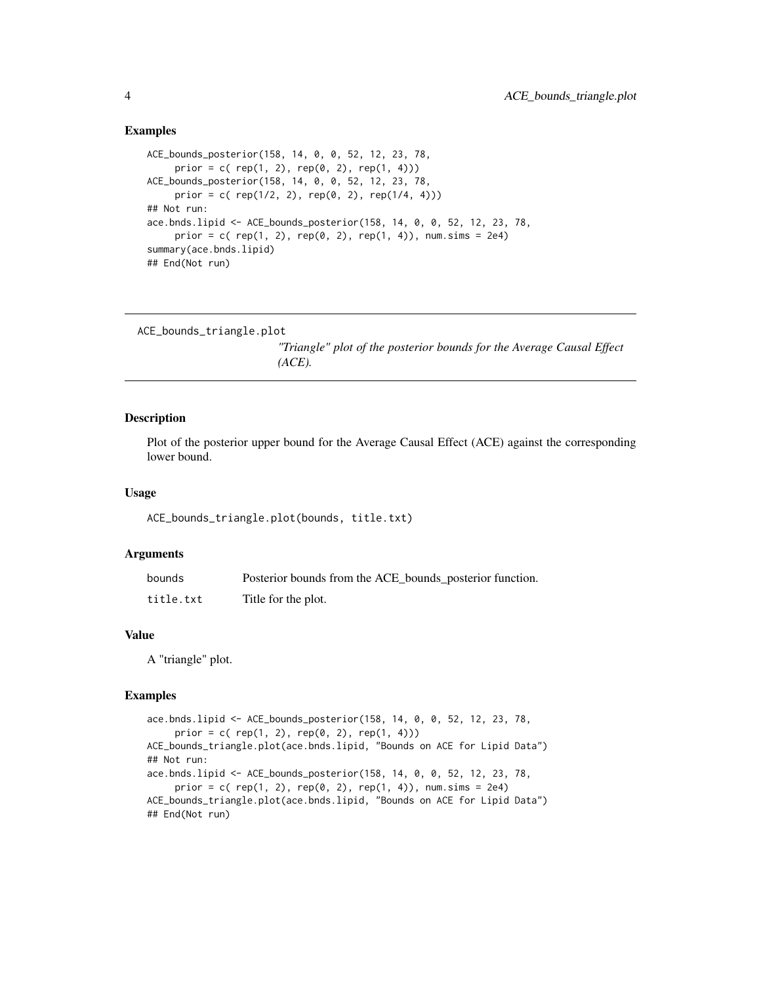## Examples

```
ACE_bounds_posterior(158, 14, 0, 0, 52, 12, 23, 78,
     prior = c( rep(1, 2), rep(0, 2), rep(1, 4)))
ACE_bounds_posterior(158, 14, 0, 0, 52, 12, 23, 78,
     prior = c( rep(1/2, 2), rep(0, 2), rep(1/4, 4)))
## Not run:
ace.bnds.lipid <- ACE_bounds_posterior(158, 14, 0, 0, 52, 12, 23, 78,
     prior = c( rep(1, 2), rep(0, 2), rep(1, 4)), num.sims = 2e4)
summary(ace.bnds.lipid)
## End(Not run)
```

```
ACE_bounds_triangle.plot
```
*"Triangle" plot of the posterior bounds for the Average Causal Effect (ACE).*

## Description

Plot of the posterior upper bound for the Average Causal Effect (ACE) against the corresponding lower bound.

#### Usage

ACE\_bounds\_triangle.plot(bounds, title.txt)

# Arguments

| bounds    | Posterior bounds from the ACE_bounds_posterior function. |
|-----------|----------------------------------------------------------|
| title.txt | Title for the plot.                                      |

# Value

A "triangle" plot.

# Examples

```
ace.bnds.lipid <- ACE_bounds_posterior(158, 14, 0, 0, 52, 12, 23, 78,
    prior = c( rep(1, 2), rep(0, 2), rep(1, 4)))
ACE_bounds_triangle.plot(ace.bnds.lipid, "Bounds on ACE for Lipid Data")
## Not run:
ace.bnds.lipid <- ACE_bounds_posterior(158, 14, 0, 0, 52, 12, 23, 78,
     prior = c( rep(1, 2), rep(0, 2), rep(1, 4)), num.sims = 2e4)
ACE_bounds_triangle.plot(ace.bnds.lipid, "Bounds on ACE for Lipid Data")
## End(Not run)
```
<span id="page-3-0"></span>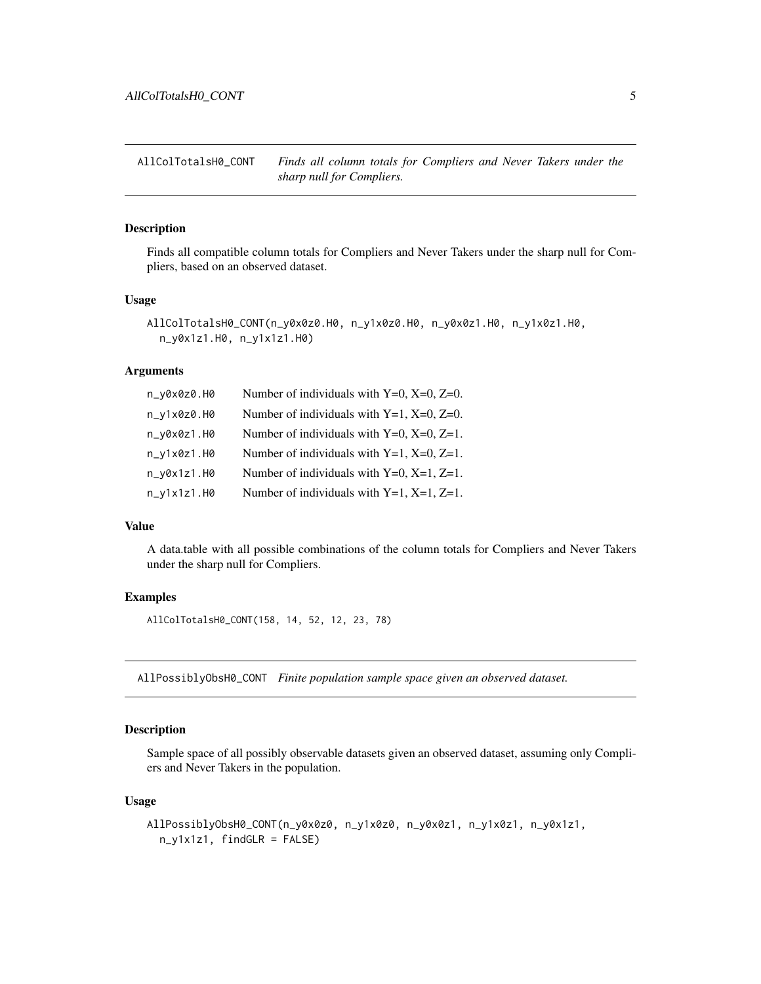<span id="page-4-0"></span>AllColTotalsH0\_CONT *Finds all column totals for Compliers and Never Takers under the sharp null for Compliers.*

# Description

Finds all compatible column totals for Compliers and Never Takers under the sharp null for Compliers, based on an observed dataset.

# Usage

```
AllColTotalsH0_CONT(n_y0x0z0.H0, n_y1x0z0.H0, n_y0x0z1.H0, n_y1x0z1.H0,
  n_y0x1z1.H0, n_y1x1z1.H0)
```
#### Arguments

| n_y0x0z0.H0   | Number of individuals with $Y=0$ , $X=0$ , $Z=0$ . |
|---------------|----------------------------------------------------|
| $n_y1x0z0.H0$ | Number of individuals with $Y=1$ , $X=0$ , $Z=0$ . |
| $n_v0x0z1.H0$ | Number of individuals with $Y=0$ , $X=0$ , $Z=1$ . |
| $n_y1x0z1.H0$ | Number of individuals with $Y=1$ , $X=0$ , $Z=1$ . |
| $n_y0x1z1.H0$ | Number of individuals with $Y=0$ , $X=1$ , $Z=1$ . |
| $n_y1x1z1.H0$ | Number of individuals with $Y=1$ , $X=1$ , $Z=1$ . |

### Value

A data.table with all possible combinations of the column totals for Compliers and Never Takers under the sharp null for Compliers.

#### Examples

AllColTotalsH0\_CONT(158, 14, 52, 12, 23, 78)

AllPossiblyObsH0\_CONT *Finite population sample space given an observed dataset.*

# Description

Sample space of all possibly observable datasets given an observed dataset, assuming only Compliers and Never Takers in the population.

### Usage

```
AllPossiblyObsH0_CONT(n_y0x0z0, n_y1x0z0, n_y0x0z1, n_y1x0z1, n_y0x1z1,
  n_y1x1z1, findGLR = FALSE)
```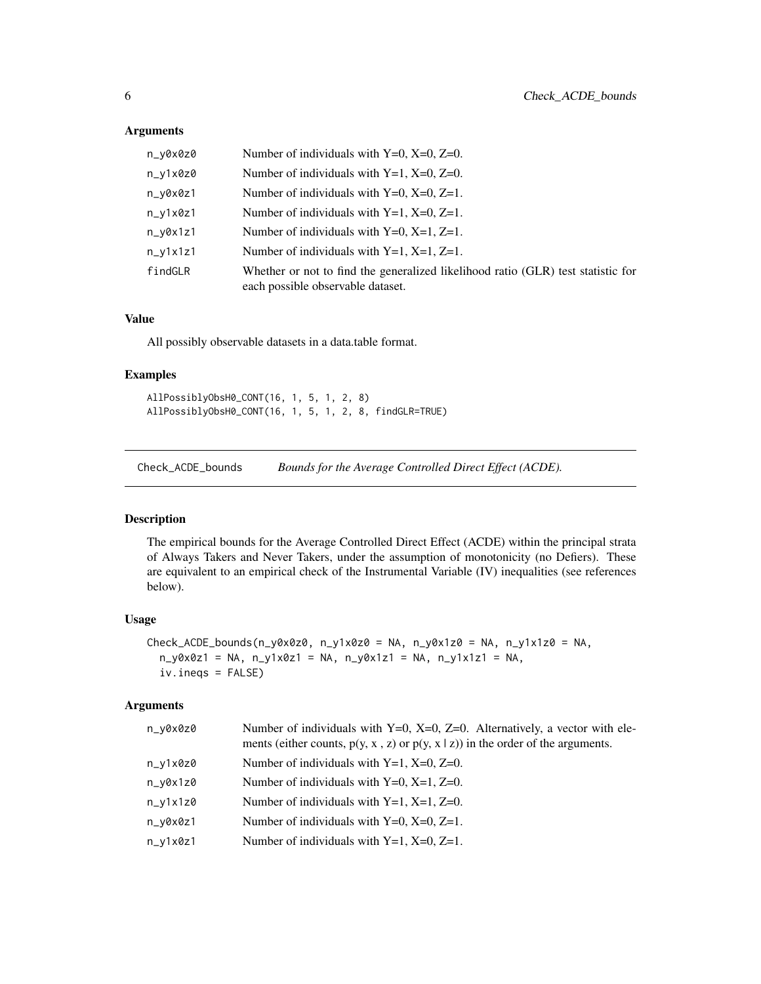# <span id="page-5-0"></span>Arguments

| n_y0x0z0   | Number of individuals with $Y=0$ , $X=0$ , $Z=0$ .                                                                    |
|------------|-----------------------------------------------------------------------------------------------------------------------|
| n_y1x0z0   | Number of individuals with $Y=1$ , $X=0$ , $Z=0$ .                                                                    |
| n_y0x0z1   | Number of individuals with $Y=0$ , $X=0$ , $Z=1$ .                                                                    |
| n_y1x0z1   | Number of individuals with $Y=1$ , $X=0$ , $Z=1$ .                                                                    |
| $n_v0x1z1$ | Number of individuals with $Y=0$ , $X=1$ , $Z=1$ .                                                                    |
| $n_y1x1z1$ | Number of individuals with $Y=1$ , $X=1$ , $Z=1$ .                                                                    |
| findGLR    | Whether or not to find the generalized likelihood ratio (GLR) test statistic for<br>each possible observable dataset. |

# Value

All possibly observable datasets in a data.table format.

# Examples

AllPossiblyObsH0\_CONT(16, 1, 5, 1, 2, 8) AllPossiblyObsH0\_CONT(16, 1, 5, 1, 2, 8, findGLR=TRUE)

Check\_ACDE\_bounds *Bounds for the Average Controlled Direct Effect (ACDE).*

# Description

The empirical bounds for the Average Controlled Direct Effect (ACDE) within the principal strata of Always Takers and Never Takers, under the assumption of monotonicity (no Defiers). These are equivalent to an empirical check of the Instrumental Variable (IV) inequalities (see references below).

## Usage

```
Check\_ACDE\_bounds(n_y0x0z0, n_y1x0z0 = NA, n_y0x1z0 = NA, n_y1x1z0 = NA,n_y0x0z1 = NA, n_y1x0z1 = NA, n_y0x1z1 = NA, n_y1x1z1 = NA,
  iv.ineqs = FALSE)
```
# Arguments

| n_v0x0z0 | Number of individuals with $Y=0$ , $X=0$ , $Z=0$ . Alternatively, a vector with ele-<br>ments (either counts, $p(y, x, z)$ or $p(y, x   z)$ ) in the order of the arguments. |
|----------|------------------------------------------------------------------------------------------------------------------------------------------------------------------------------|
| n_y1x0z0 | Number of individuals with $Y=1$ , $X=0$ , $Z=0$ .                                                                                                                           |
| n_v0x1z0 | Number of individuals with $Y=0$ , $X=1$ , $Z=0$ .                                                                                                                           |
| n_y1x1z0 | Number of individuals with $Y=1$ , $X=1$ , $Z=0$ .                                                                                                                           |
| n_v0x0z1 | Number of individuals with $Y=0$ , $X=0$ , $Z=1$ .                                                                                                                           |
| n_v1x0z1 | Number of individuals with $Y=1$ , $X=0$ , $Z=1$ .                                                                                                                           |
|          |                                                                                                                                                                              |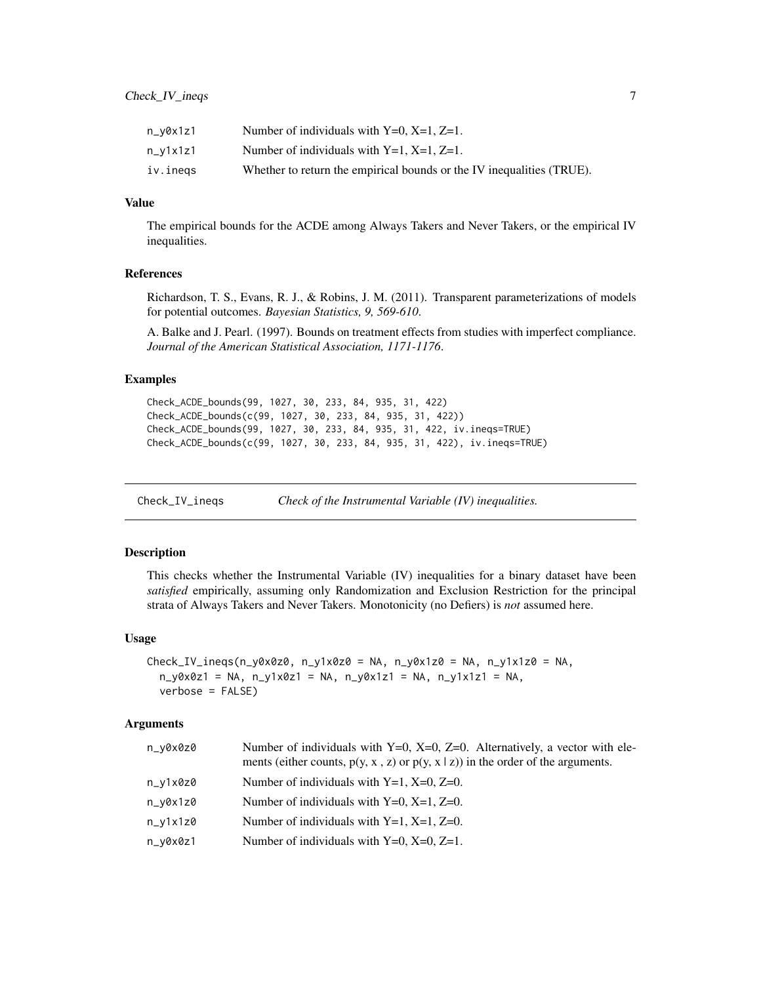<span id="page-6-0"></span>

| n_y0x1z1   | Number of individuals with $Y=0$ , $X=1$ , $Z=1$ .                    |
|------------|-----------------------------------------------------------------------|
| $n_y1x1z1$ | Number of individuals with $Y=1$ , $X=1$ , $Z=1$ .                    |
| iv.inegs   | Whether to return the empirical bounds or the IV inequalities (TRUE). |

# Value

The empirical bounds for the ACDE among Always Takers and Never Takers, or the empirical IV inequalities.

# References

Richardson, T. S., Evans, R. J., & Robins, J. M. (2011). Transparent parameterizations of models for potential outcomes. *Bayesian Statistics, 9, 569-610*.

A. Balke and J. Pearl. (1997). Bounds on treatment effects from studies with imperfect compliance. *Journal of the American Statistical Association, 1171-1176*.

# Examples

```
Check_ACDE_bounds(99, 1027, 30, 233, 84, 935, 31, 422)
Check_ACDE_bounds(c(99, 1027, 30, 233, 84, 935, 31, 422))
Check_ACDE_bounds(99, 1027, 30, 233, 84, 935, 31, 422, iv.ineqs=TRUE)
Check_ACDE_bounds(c(99, 1027, 30, 233, 84, 935, 31, 422), iv.ineqs=TRUE)
```
Check\_IV\_ineqs *Check of the Instrumental Variable (IV) inequalities.*

# Description

This checks whether the Instrumental Variable (IV) inequalities for a binary dataset have been *satisfied* empirically, assuming only Randomization and Exclusion Restriction for the principal strata of Always Takers and Never Takers. Monotonicity (no Defiers) is *not* assumed here.

#### Usage

```
Check\_IV\_ineqs(n_y0x0z0, n_y1x0z0 = NA, n_y0x1z0 = NA, n_y1x1z0 = NA,n_y0x0z1 = NA, n_y1x0z1 = NA, n_y0x1z1 = NA, n_y1x1z1 = NA,
  verbose = FALSE)
```
### Arguments

| n_v0x0z0   | Number of individuals with $Y=0$ , $X=0$ , $Z=0$ . Alternatively, a vector with ele-<br>ments (either counts, $p(y, x, z)$ or $p(y, x   z)$ ) in the order of the arguments. |
|------------|------------------------------------------------------------------------------------------------------------------------------------------------------------------------------|
| n_v1x0z0   | Number of individuals with $Y=1$ , $X=0$ , $Z=0$ .                                                                                                                           |
| n_v0x1z0   | Number of individuals with $Y=0$ , $X=1$ , $Z=0$ .                                                                                                                           |
| $n_v1x1z0$ | Number of individuals with $Y=1$ , $X=1$ , $Z=0$ .                                                                                                                           |
| n_v0x0z1   | Number of individuals with $Y=0$ , $X=0$ , $Z=1$ .                                                                                                                           |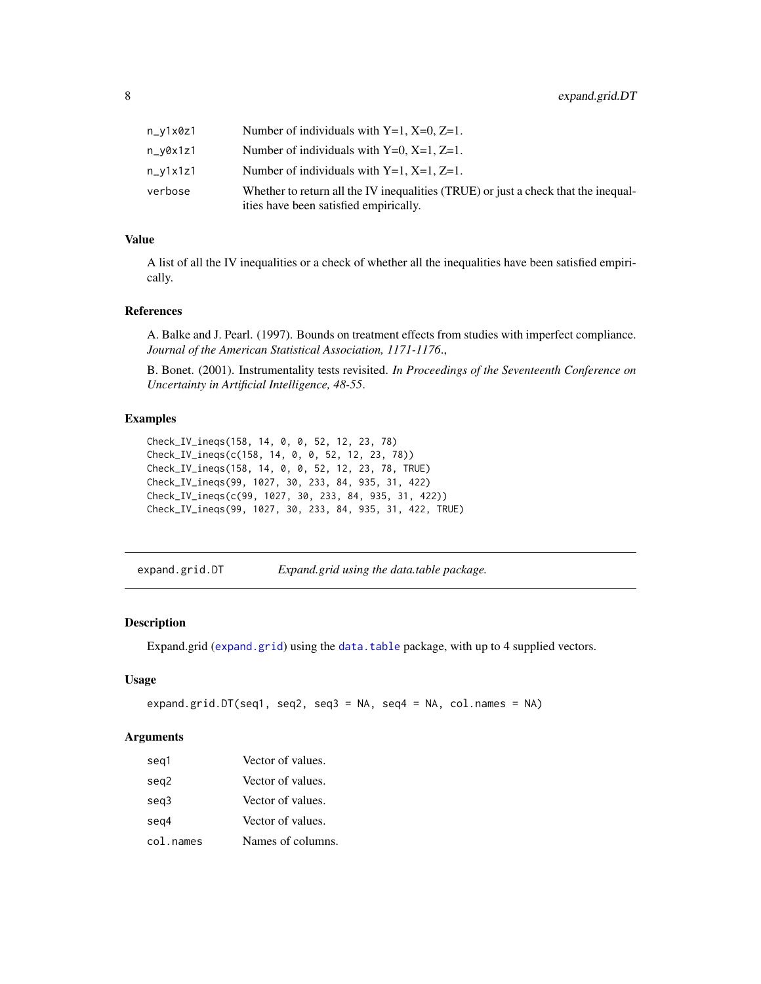<span id="page-7-0"></span>

| n_v1x0z1 | Number of individuals with $Y=1$ , $X=0$ , $Z=1$ .                                                                           |
|----------|------------------------------------------------------------------------------------------------------------------------------|
| n_v0x1z1 | Number of individuals with $Y=0$ , $X=1$ , $Z=1$ .                                                                           |
| n_v1x1z1 | Number of individuals with $Y=1$ , $X=1$ , $Z=1$ .                                                                           |
| verbose  | Whether to return all the IV inequalities (TRUE) or just a check that the inequal-<br>ities have been satisfied empirically. |

# Value

A list of all the IV inequalities or a check of whether all the inequalities have been satisfied empirically.

#### References

A. Balke and J. Pearl. (1997). Bounds on treatment effects from studies with imperfect compliance. *Journal of the American Statistical Association, 1171-1176*.,

B. Bonet. (2001). Instrumentality tests revisited. *In Proceedings of the Seventeenth Conference on Uncertainty in Artificial Intelligence, 48-55*.

# Examples

```
Check_IV_ineqs(158, 14, 0, 0, 52, 12, 23, 78)
Check_IV_ineqs(c(158, 14, 0, 0, 52, 12, 23, 78))
Check_IV_ineqs(158, 14, 0, 0, 52, 12, 23, 78, TRUE)
Check_IV_ineqs(99, 1027, 30, 233, 84, 935, 31, 422)
Check_IV_ineqs(c(99, 1027, 30, 233, 84, 935, 31, 422))
Check_IV_ineqs(99, 1027, 30, 233, 84, 935, 31, 422, TRUE)
```
expand.grid.DT *Expand.grid using the data.table package.*

# Description

Expand.grid ([expand.grid](#page-0-0)) using the [data.table](#page-0-0) package, with up to 4 supplied vectors.

#### Usage

```
expand.grid.DT(seq1, seq2, seq3 = NA, seq4 = NA, col.names = NA)
```
# Arguments

| seg1      | Vector of values. |
|-----------|-------------------|
| seg2      | Vector of values. |
| seg3      | Vector of values. |
| seg4      | Vector of values. |
| col.names | Names of columns. |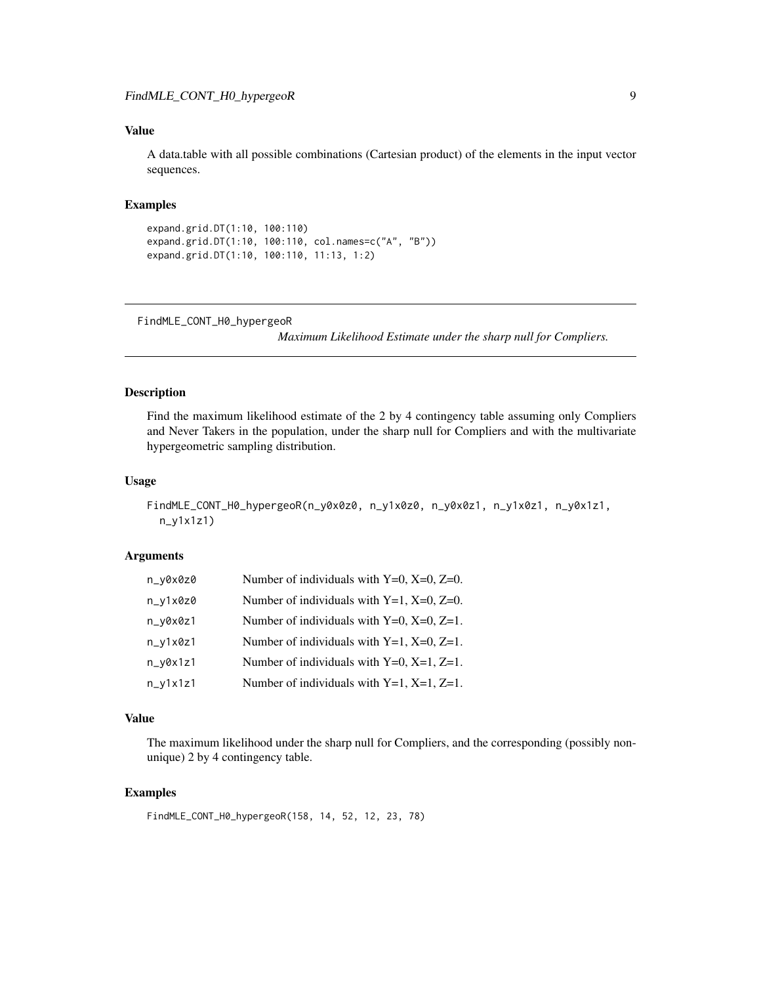# <span id="page-8-0"></span>Value

A data.table with all possible combinations (Cartesian product) of the elements in the input vector sequences.

# Examples

```
expand.grid.DT(1:10, 100:110)
expand.grid.DT(1:10, 100:110, col.names=c("A", "B"))
expand.grid.DT(1:10, 100:110, 11:13, 1:2)
```

```
FindMLE_CONT_H0_hypergeoR
```
*Maximum Likelihood Estimate under the sharp null for Compliers.*

# Description

Find the maximum likelihood estimate of the 2 by 4 contingency table assuming only Compliers and Never Takers in the population, under the sharp null for Compliers and with the multivariate hypergeometric sampling distribution.

#### Usage

```
FindMLE_CONT_H0_hypergeoR(n_y0x0z0, n_y1x0z0, n_y0x0z1, n_y1x0z1, n_y0x1z1,
  n_y1x1z1)
```
### Arguments

| n_y0x0z0   | Number of individuals with $Y=0$ , $X=0$ , $Z=0$ . |
|------------|----------------------------------------------------|
| $n_y1x0z0$ | Number of individuals with $Y=1$ , $X=0$ , $Z=0$ . |
| n_y0x0z1   | Number of individuals with $Y=0$ , $X=0$ , $Z=1$ . |
| $n_y1x0z1$ | Number of individuals with $Y=1$ , $X=0$ , $Z=1$ . |
| $n_y0x1z1$ | Number of individuals with $Y=0$ , $X=1$ , $Z=1$ . |
| $n_y1x1z1$ | Number of individuals with $Y=1$ , $X=1$ , $Z=1$ . |

# Value

The maximum likelihood under the sharp null for Compliers, and the corresponding (possibly nonunique) 2 by 4 contingency table.

# Examples

```
FindMLE_CONT_H0_hypergeoR(158, 14, 52, 12, 23, 78)
```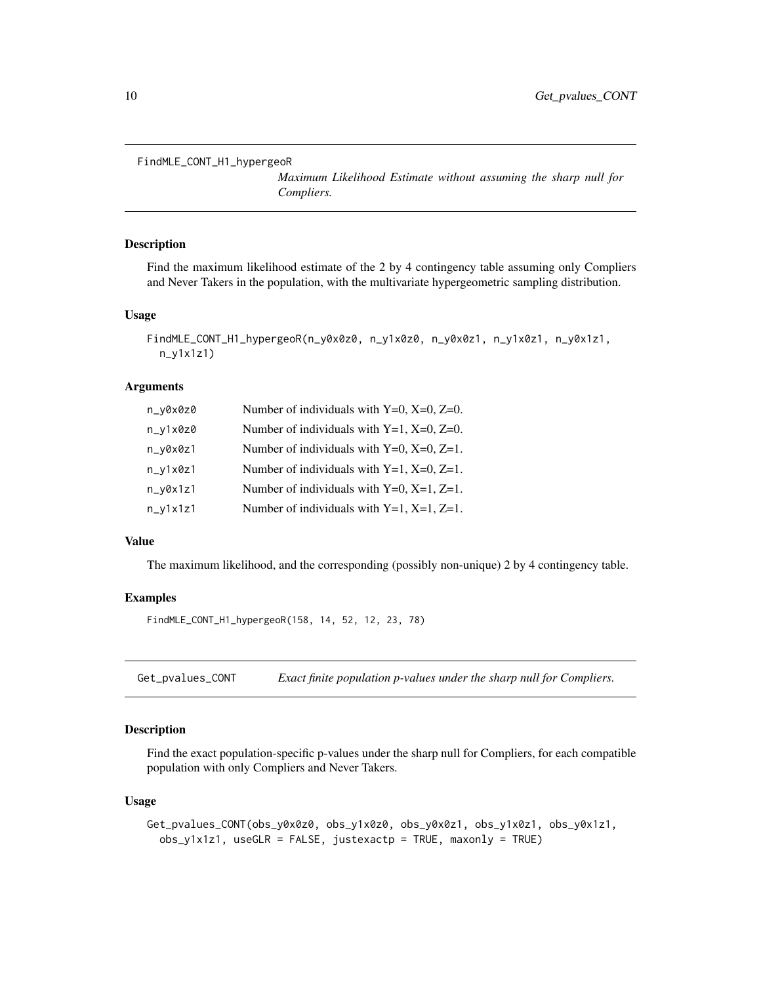```
FindMLE_CONT_H1_hypergeoR
```
*Maximum Likelihood Estimate without assuming the sharp null for Compliers.*

# Description

Find the maximum likelihood estimate of the 2 by 4 contingency table assuming only Compliers and Never Takers in the population, with the multivariate hypergeometric sampling distribution.

### Usage

```
FindMLE_CONT_H1_hypergeoR(n_y0x0z0, n_y1x0z0, n_y0x0z1, n_y1x0z1, n_y0x1z1,
  n_y1x1z1)
```
#### Arguments

| n_y0x0z0   | Number of individuals with $Y=0$ , $X=0$ , $Z=0$ . |
|------------|----------------------------------------------------|
| $n_v1x0z0$ | Number of individuals with $Y=1$ , $X=0$ , $Z=0$ . |
| n_y0x0z1   | Number of individuals with $Y=0$ , $X=0$ , $Z=1$ . |
| $n_y1x0z1$ | Number of individuals with $Y=1$ , $X=0$ , $Z=1$ . |
| $n_v0x1z1$ | Number of individuals with $Y=0$ , $X=1$ , $Z=1$ . |
| $n_y1x1z1$ | Number of individuals with $Y=1$ , $X=1$ , $Z=1$ . |

#### Value

The maximum likelihood, and the corresponding (possibly non-unique) 2 by 4 contingency table.

#### Examples

FindMLE\_CONT\_H1\_hypergeoR(158, 14, 52, 12, 23, 78)

Get\_pvalues\_CONT *Exact finite population p-values under the sharp null for Compliers.*

# Description

Find the exact population-specific p-values under the sharp null for Compliers, for each compatible population with only Compliers and Never Takers.

### Usage

```
Get_pvalues_CONT(obs_y0x0z0, obs_y1x0z0, obs_y0x0z1, obs_y1x0z1, obs_y0x1z1,
  obs_y1x1z1, useGLR = FALSE, justexactp = TRUE, maxonly = TRUE)
```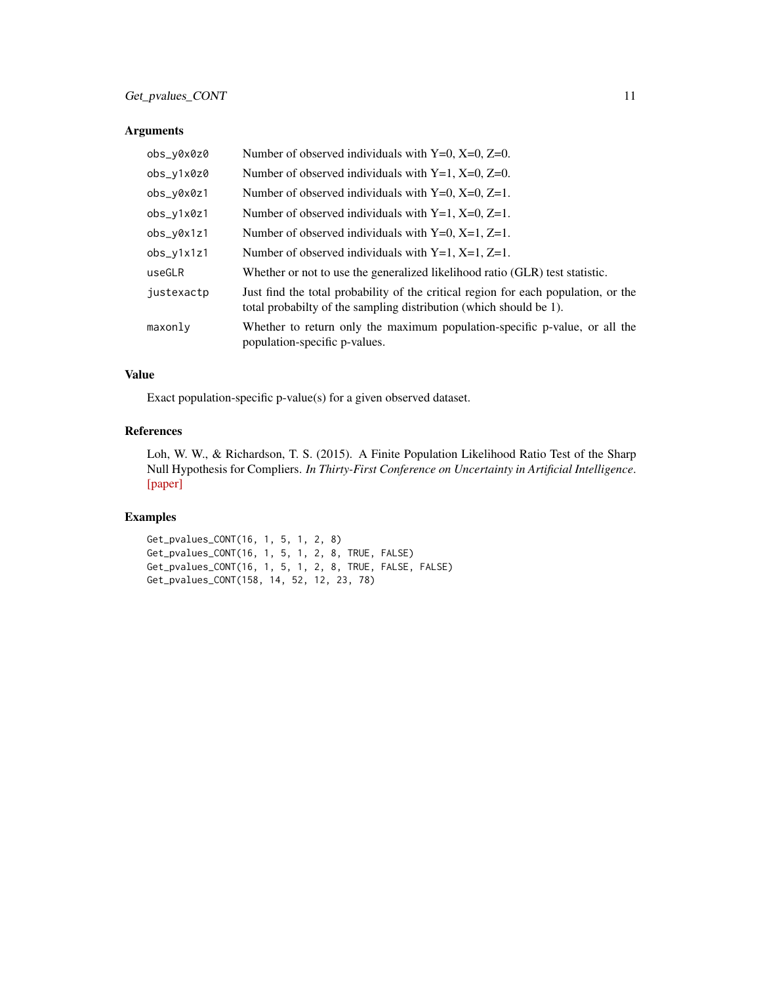# Arguments

| obs_y0x0z0   | Number of observed individuals with $Y=0$ , $X=0$ , $Z=0$ .                                                                                              |
|--------------|----------------------------------------------------------------------------------------------------------------------------------------------------------|
| obs_y1x0z0   | Number of observed individuals with $Y=1$ , $X=0$ , $Z=0$ .                                                                                              |
| obs_y0x0z1   | Number of observed individuals with $Y=0$ , $X=0$ , $Z=1$ .                                                                                              |
| obs_y1x0z1   | Number of observed individuals with $Y=1$ , $X=0$ , $Z=1$ .                                                                                              |
| obs_y0x1z1   | Number of observed individuals with $Y=0$ , $X=1$ , $Z=1$ .                                                                                              |
| $obs_y1x1z1$ | Number of observed individuals with $Y=1$ , $X=1$ , $Z=1$ .                                                                                              |
| useGLR       | Whether or not to use the generalized likelihood ratio (GLR) test statistic.                                                                             |
| justexactp   | Just find the total probability of the critical region for each population, or the<br>total probabilty of the sampling distribution (which should be 1). |
| maxonly      | Whether to return only the maximum population-specific p-value, or all the<br>population-specific p-values.                                              |

# Value

Exact population-specific p-value(s) for a given observed dataset.

# References

Loh, W. W., & Richardson, T. S. (2015). A Finite Population Likelihood Ratio Test of the Sharp Null Hypothesis for Compliers. *In Thirty-First Conference on Uncertainty in Artificial Intelligence*. [\[paper\]](http://auai.org/uai2015/proceedings/papers/97.pdf)

# Examples

Get\_pvalues\_CONT(16, 1, 5, 1, 2, 8) Get\_pvalues\_CONT(16, 1, 5, 1, 2, 8, TRUE, FALSE) Get\_pvalues\_CONT(16, 1, 5, 1, 2, 8, TRUE, FALSE, FALSE) Get\_pvalues\_CONT(158, 14, 52, 12, 23, 78)